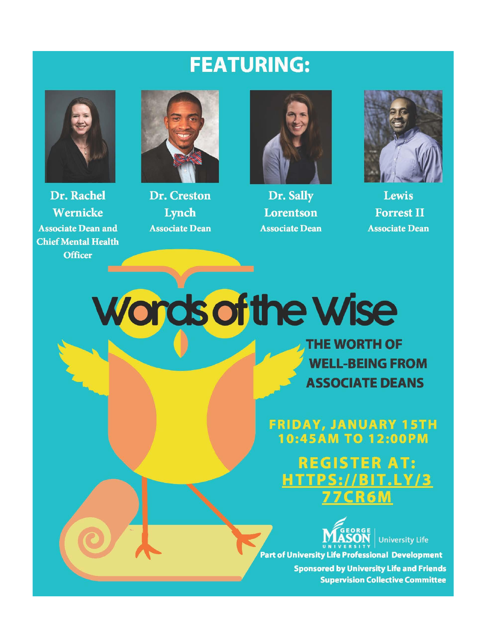## **FEATURING:**



Dr. Rachel Wernicke **Associate Dean and Chief Mental Health Officer** 



Dr. Creston Lynch **Associate Dean** 



Dr. Sally Lorentson **Associate Dean** 



Lewis **Forrest II Associate Dean** 

**Words of the Wise** 

**THE WORTH OF WELL-BEING FROM ASSOCIATE DEANS** 

**FRIDAY, JANUARY 15TH 10:45AM TO 12:00PM** 

**REGISTER AT:**  $S:I/BIT.LY/3$ ER 6 M



**University Life Part of University Life Professional Development** 

> **Sponsored by University Life and Friends Supervision Collective Committee**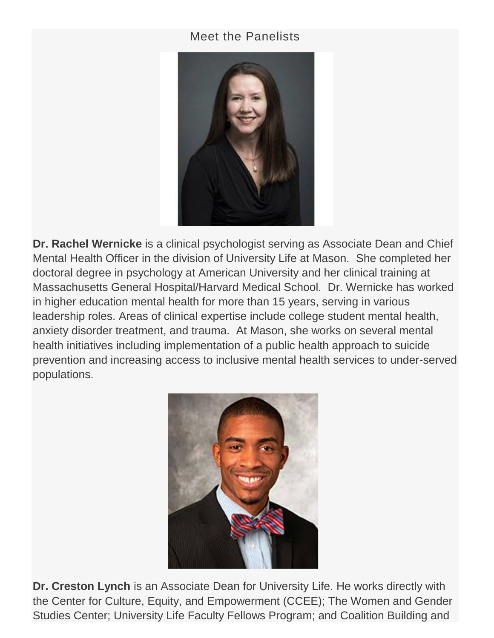## Meet the Panelists



**Dr. Rachel Wernicke** is a clinical psychologist serving as Associate Dean and Chief Mental Health Officer in the division of University Life at Mason. She completed her doctoral degree in psychology at American University and her clinical training at Massachusetts General Hospital/Harvard Medical School. Dr. Wernicke has worked in higher education mental health for more than 15 years, serving in various leadership roles. Areas of clinical expertise include college student mental health, anxiety disorder treatment, and trauma. At Mason, she works on several mental health initiatives including implementation of a public health approach to suicide prevention and increasing access to inclusive mental health services to under-served populations.



**Dr. Creston Lynch** is an Associate Dean for University Life. He works directly with the Center for Culture, Equity, and Empowerment (CCEE); The Women and Gender Studies Center; University Life Faculty Fellows Program; and Coalition Building and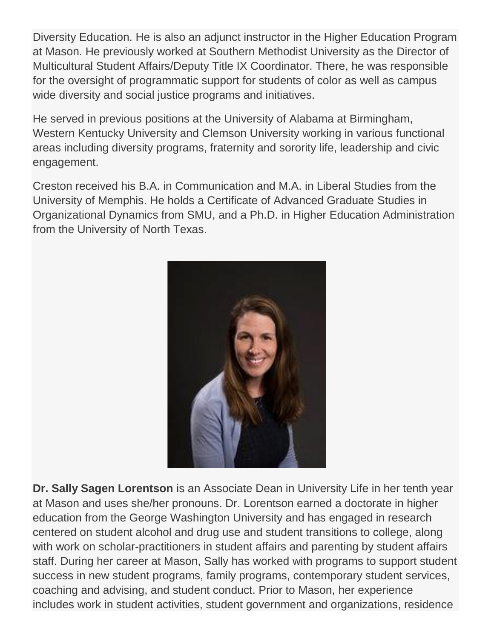Diversity Education. He is also an adjunct instructor in the Higher Education Program at Mason. He previously worked at Southern Methodist University as the Director of Multicultural Student Affairs/Deputy Title IX Coordinator. There, he was responsible for the oversight of programmatic support for students of color as well as campus wide diversity and social justice programs and initiatives.

He served in previous positions at the University of Alabama at Birmingham, Western Kentucky University and Clemson University working in various functional areas including diversity programs, fraternity and sorority life, leadership and civic engagement.

Creston received his B.A. in Communication and M.A. in Liberal Studies from the University of Memphis. He holds a Certificate of Advanced Graduate Studies in Organizational Dynamics from SMU, and a Ph.D. in Higher Education Administration from the University of North Texas.



**Dr. Sally Sagen Lorentson** is an Associate Dean in University Life in her tenth year at Mason and uses she/her pronouns. Dr. Lorentson earned a doctorate in higher education from the George Washington University and has engaged in research centered on student alcohol and drug use and student transitions to college, along with work on scholar-practitioners in student affairs and parenting by student affairs staff. During her career at Mason, Sally has worked with programs to support student success in new student programs, family programs, contemporary student services, coaching and advising, and student conduct. Prior to Mason, her experience includes work in student activities, student government and organizations, residence